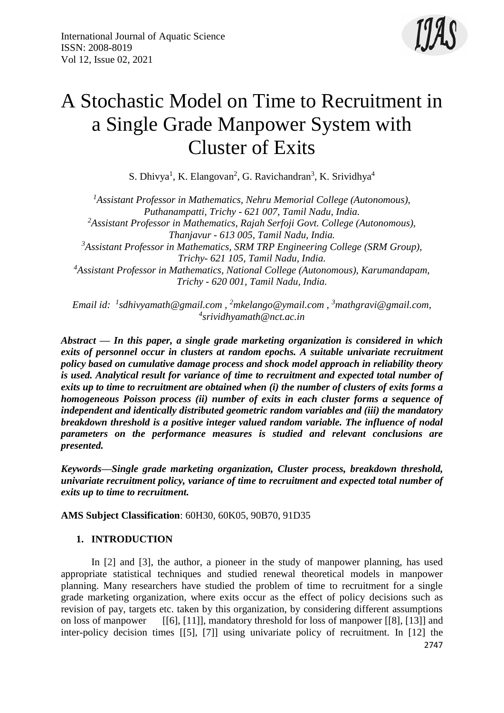

# A Stochastic Model on Time to Recruitment in a Single Grade Manpower System with Cluster of Exits

S. Dhivya<sup>1</sup>, K. Elangovan<sup>2</sup>, G. Ravichandran<sup>3</sup>, K. Srividhya<sup>4</sup>

*<sup>1</sup>Assistant Professor in Mathematics, Nehru Memorial College (Autonomous), Puthanampatti, Trichy - 621 007, Tamil Nadu, India. <sup>2</sup>Assistant Professor in Mathematics, Rajah Serfoji Govt. College (Autonomous), Thanjavur - 613 005, Tamil Nadu, India. <sup>3</sup>Assistant Professor in Mathematics, SRM TRP Engineering College (SRM Group), Trichy- 621 105, Tamil Nadu, India. <sup>4</sup>Assistant Professor in Mathematics, National College (Autonomous), Karumandapam, Trichy - 620 001, Tamil Nadu, India.*

*Email id: <sup>1</sup> [sdhivyamath@gmail.com](mailto:1sdhivyamath@gmail.com) , <sup>2</sup>[mkelango@ymail.com](mailto:2mkelango@ymail.com) , <sup>3</sup>[mathgravi@gmail.com,](mailto:3mathgravi@gmail.com) 4 [srividhyamath@nct.ac.in](mailto:4srividhyamath@nct.ac.in)*

*Abstract — In this paper, a single grade marketing organization is considered in which exits of personnel occur in clusters at random epochs. A suitable univariate recruitment policy based on cumulative damage process and shock model approach in reliability theory is used. Analytical result for variance of time to recruitment and expected total number of exits up to time to recruitment are obtained when (i) the number of clusters of exits forms a homogeneous Poisson process (ii) number of exits in each cluster forms a sequence of independent and identically distributed geometric random variables and (iii) the mandatory breakdown threshold is a positive integer valued random variable. The influence of nodal parameters on the performance measures is studied and relevant conclusions are presented.*

*Keywords—Single grade marketing organization, Cluster process, breakdown threshold, univariate recruitment policy, variance of time to recruitment and expected total number of exits up to time to recruitment.*

**AMS Subject Classification**: 60H30, 60K05, 90B70, 91D35

## **1. INTRODUCTION**

In [2] and [3], the author, a pioneer in the study of manpower planning, has used appropriate statistical techniques and studied renewal theoretical models in manpower planning. Many researchers have studied the problem of time to recruitment for a single grade marketing organization, where exits occur as the effect of policy decisions such as revision of pay, targets etc. taken by this organization, by considering different assumptions on loss of manpower [[6], [11]], mandatory threshold for loss of manpower [[8], [13]] and inter-policy decision times [[5], [7]] using univariate policy of recruitment. In [12] the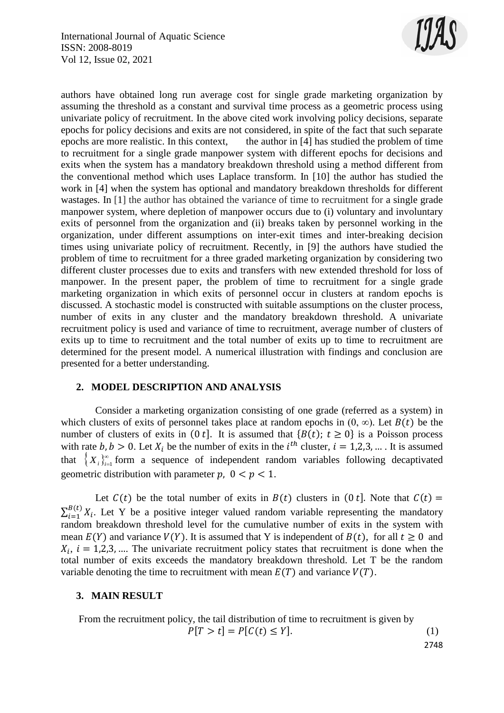

authors have obtained long run average cost for single grade marketing organization by assuming the threshold as a constant and survival time process as a geometric process using univariate policy of recruitment. In the above cited work involving policy decisions, separate epochs for policy decisions and exits are not considered, in spite of the fact that such separate epochs are more realistic. In this context, the author in [4] has studied the problem of time to recruitment for a single grade manpower system with different epochs for decisions and exits when the system has a mandatory breakdown threshold using a method different from the conventional method which uses Laplace transform. In [10] the author has studied the work in [4] when the system has optional and mandatory breakdown thresholds for different wastages. In [1] the author has obtained the variance of time to recruitment for a single grade manpower system, where depletion of manpower occurs due to (i) voluntary and involuntary exits of personnel from the organization and (ii) breaks taken by personnel working in the organization, under different assumptions on inter-exit times and inter-breaking decision times using univariate policy of recruitment. Recently, in [9] the authors have studied the problem of time to recruitment for a three graded marketing organization by considering two different cluster processes due to exits and transfers with new extended threshold for loss of manpower. In the present paper, the problem of time to recruitment for a single grade marketing organization in which exits of personnel occur in clusters at random epochs is discussed. A stochastic model is constructed with suitable assumptions on the cluster process, number of exits in any cluster and the mandatory breakdown threshold. A univariate recruitment policy is used and variance of time to recruitment, average number of clusters of exits up to time to recruitment and the total number of exits up to time to recruitment are determined for the present model. A numerical illustration with findings and conclusion are presented for a better understanding.

## **2. MODEL DESCRIPTION AND ANALYSIS**

Consider a marketing organization consisting of one grade (referred as a system) in which clusters of exits of personnel takes place at random epochs in  $(0, \infty)$ . Let  $B(t)$  be the number of clusters of exits in  $(0 t]$ . It is assumed that  ${B(t)}$ ;  $t \ge 0$ } is a Poisson process with rate  $b, b > 0$ . Let  $X_i$  be the number of exits in the  $i^{th}$  cluster,  $i = 1, 2, 3, ...$ . It is assumed that  $\{X_i\}_{i=1}^{\infty}$  form a sequence of independent random variables following decaptivated geometric distribution with parameter  $p$ ,  $0 < p < 1$ .

Let  $C(t)$  be the total number of exits in  $B(t)$  clusters in  $(0 t]$ . Note that  $C(t) =$  $\sum_{i=1}^{B(t)} X_i$  $E_{i=1}^{B(t)} X_i$ . Let Y be a positive integer valued random variable representing the mandatory random breakdown threshold level for the cumulative number of exits in the system with mean  $E(Y)$  and variance  $V(Y)$ . It is assumed that Y is independent of  $B(t)$ , for all  $t \ge 0$  and  $X_i$ ,  $i = 1,2,3,...$  The univariate recruitment policy states that recruitment is done when the total number of exits exceeds the mandatory breakdown threshold. Let T be the random variable denoting the time to recruitment with mean  $E(T)$  and variance  $V(T)$ .

## **3. MAIN RESULT**

From the recruitment policy, the tail distribution of time to recruitment is given by  
\n
$$
P[T > t] = P[C(t) \le Y].
$$
\n(1)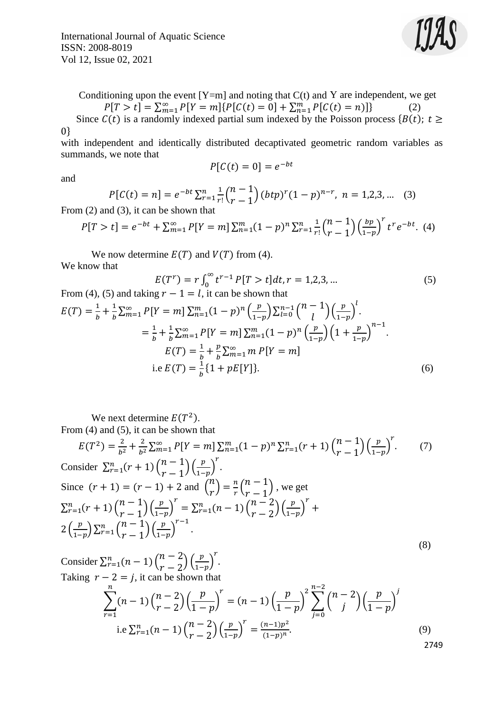International Journal of Aquatic Science ISSN: 2008-8019 Vol 12, Issue 02, 2021



Conditioning upon the event  $[Y=m]$  and noting that  $C(t)$  and Y are independent, we get  $P[T > t] = \sum_{m=1}^{\infty} P[Y = m] \{ P[C(t) = 0] + \sum_{n=1}^{m} P[C(t) = n] \}$ (2)

Since  $C(t)$  is a randomly indexed partial sum indexed by the Poisson process { $B(t)$ ;  $t \ge$ 0}

with independent and identically distributed decaptivated geometric random variables as summands, we note that

$$
P[C(t) = 0] = e^{-bt}
$$

and

$$
P[C(t) = n] = e^{-bt} \sum_{r=1}^{n} \frac{1}{r!} {n-1 \choose r-1} (btp)^r (1-p)^{n-r}, \ n = 1,2,3,...
$$
 (3)  
From (2) and (3), it can be shown that

$$
P[T > t] = e^{-bt} + \sum_{m=1}^{\infty} P[Y = m] \sum_{n=1}^{m} (1 - p)^n \sum_{r=1}^{n} \frac{1}{r!} {n-1 \choose r-1} \left(\frac{bp}{1-p}\right)^r t^r e^{-bt}.
$$
 (4)

We now determine  $E(T)$  and  $V(T)$  from (4). We know that

$$
E(T^r) = r \int_0^\infty t^{r-1} P[T > t] dt, r = 1,2,3,...
$$
(5)  
From (4), (5) and taking  $r - 1 = l$ , it can be shown that  

$$
E(T) = \frac{1}{b} + \frac{1}{b} \sum_{m=1}^\infty P[Y = m] \sum_{n=1}^m (1 - p)^n \left(\frac{p}{1 - p}\right) \sum_{l=0}^{n-1} {n - 1 \choose l} \left(\frac{p}{1 - p}\right)^l.
$$

$$
= \frac{1}{b} + \frac{1}{b} \sum_{m=1}^\infty P[Y = m] \sum_{n=1}^m (1 - p)^n \left(\frac{p}{1 - p}\right) \left(1 + \frac{p}{1 - p}\right)^{n-1}.
$$

$$
E(T) = \frac{1}{b} + \frac{p}{b} \sum_{m=1}^\infty m P[Y = m]
$$

$$
\text{i.e } E(T) = \frac{1}{b} \{1 + pE[Y]\}.
$$
(6)

We next determine  $E(T^2)$ .

From (4) and (5), it can be shown that

$$
E(T^{2}) = \frac{2}{b^{2}} + \frac{2}{b^{2}} \sum_{m=1}^{\infty} P[Y=m] \sum_{n=1}^{m} (1-p)^{n} \sum_{r=1}^{n} (r+1) {n-1 \choose r-1} \left(\frac{p}{1-p}\right)^{r}.
$$
 (7)  
Consider  $\sum_{r=1}^{n} (r+1) {n-1 \choose r-1} \left(\frac{p}{1-p}\right)^{r}$ .

Consider 
$$
\sum_{r=1}^{n} (r+1) {n-1 \choose r-1} \left(\frac{p}{1-p}\right)
$$
.  
\nSince  $(r+1) = (r-1) + 2$  and  ${n \choose r} = \frac{n}{r} {n-1 \choose r-1}$ , we get  
\n
$$
\sum_{r=1}^{n} (r+1) {n-1 \choose r-1} \left(\frac{p}{1-p}\right)^r = \sum_{r=1}^{n} (n-1) {n-2 \choose r-2} \left(\frac{p}{1-p}\right)^r + 2 \left(\frac{p}{1-p}\right) \sum_{r=1}^{n} {n-1 \choose r-1} \left(\frac{p}{1-p}\right)^{r-1}.
$$
\n(8)

Consider 
$$
\sum_{r=1}^{n} (n-1) {n-2 \choose r-2} \left(\frac{p}{1-p}\right)^r
$$
.  
\nTaking  $r-2 = j$ , it can be shown that\n
$$
\sum_{r=1}^{n} (n-1) {n-2 \choose r-2} \left(\frac{p}{1-p}\right)^r = (n-1) \left(\frac{p}{1-p}\right)^2 \sum_{j=0}^{n-2} {n-2 \choose j} \left(\frac{p}{1-p}\right)^j
$$
\ni.e  $\sum_{r=1}^{n} (n-1) {n-2 \choose r-2} \left(\frac{p}{1-p}\right)^r = \frac{(n-1)p^2}{(1-p)^n}.$ \n(9)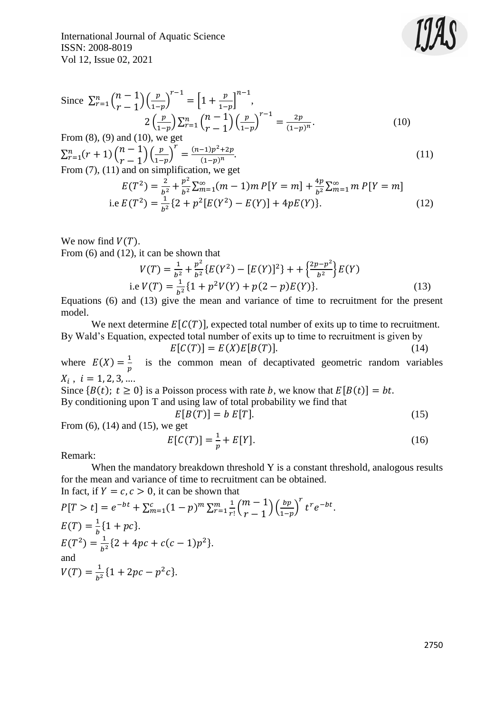International Journal of Aquatic Science ISSN: 2008-8019 Vol 12, Issue 02, 2021



Since 
$$
\sum_{r=1}^{n} {n-1 \choose r-1} \left(\frac{p}{1-p}\right)^{r-1} = \left[1 + \frac{p}{1-p}\right]^{n-1}
$$
,  
\n
$$
2\left(\frac{p}{1-p}\right) \sum_{r=1}^{n} {n-1 \choose r-1} \left(\frac{p}{1-p}\right)^{r-1} = \frac{2p}{(1-p)^n}.
$$
\n(10)  
\nFrom (8), (9) and (10), we get

From (7), (11) and (10), we get  
\n
$$
\sum_{r=1}^{n} (r+1) \binom{n-1}{r-1} \left(\frac{p}{1-p}\right)^r = \frac{(n-1)p^2 + 2p}{(1-p)^n}.
$$
\n(11)  
\nFrom (7), (11) and on simplification, we get

$$
E(T^{2}) = \frac{2}{b^{2}} + \frac{p^{2}}{b^{2}} \sum_{m=1}^{\infty} (m-1)m P[Y=m] + \frac{4p}{b^{2}} \sum_{m=1}^{\infty} m P[Y=m]
$$
  
i.e  $E(T^{2}) = \frac{1}{b^{2}} \{2 + p^{2} [E(Y^{2}) - E(Y)] + 4pE(Y)\}.$  (12)

We now find  $V(T)$ .

From (6) and (12), it can be shown that

$$
V(T) = \frac{1}{b^2} + \frac{p^2}{b^2} \{ E(Y^2) - [E(Y)]^2 \} + \frac{2p - p^2}{b^2} E(Y)
$$
  
i.e  $V(T) = \frac{1}{b^2} \{ 1 + p^2 V(Y) + p(2 - p) E(Y) \}.$  (13)

Equations (6) and (13) give the mean and variance of time to recruitment for the present model.

We next determine  $E[C(T)]$ , expected total number of exits up to time to recruitment. By Wald's Equation, expected total number of exits up to time to recruitment is given by

$$
E[C(T)] = E(X)E[B(T)].
$$
\n(14)

where  $E(X) = \frac{1}{x}$  $\frac{1}{p}$  is the common mean of decaptivated geometric random variables  $X_i$ ,  $i = 1, 2, 3, ...$ 

Since  ${B(t)}$ ;  $t \ge 0$ } is a Poisson process with rate b, we know that  $E[B(t)] = bt$ . By conditioning upon T and using law of total probability we find that

$$
E[B(T)] = b E[T]. \tag{15}
$$

From 
$$
(6)
$$
,  $(14)$  and  $(15)$ , we get

$$
E[C(T)] = \frac{1}{p} + E[Y].
$$
 (16)

Remark:

When the mandatory breakdown threshold Y is a constant threshold, analogous results for the mean and variance of time to recruitment can be obtained. In fact, if  $Y = c, c > 0$ , it can be shown that

$$
P[T > t] = e^{-bt} + \sum_{m=1}^{c} (1-p)^m \sum_{r=1}^{m} \frac{1}{r!} {m-1 \choose r-1} \left(\frac{bp}{1-p}\right)^r t^r e^{-bt}.
$$
  
\n
$$
E(T^2) = \frac{1}{b^2} \{2 + 4pc + c(c-1)p^2\}.
$$
  
\nand  
\n
$$
V(T) = \frac{1}{b^2} \{1 + 2pc - p^2c\}.
$$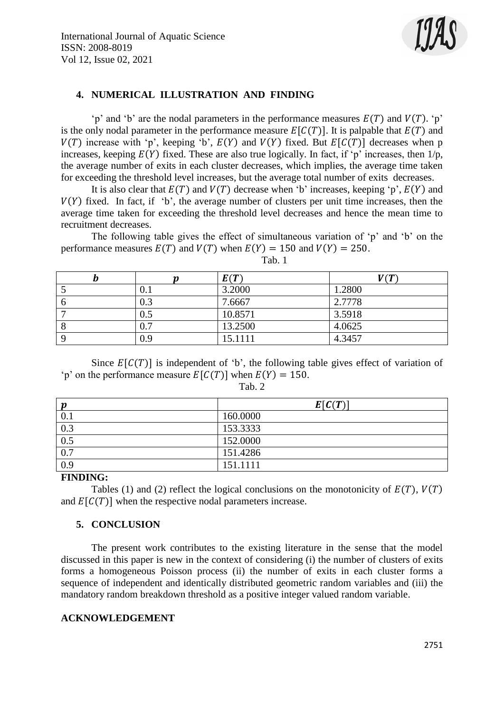

## **4. NUMERICAL ILLUSTRATION AND FINDING**

'p' and 'b' are the nodal parameters in the performance measures  $E(T)$  and  $V(T)$ . 'p' is the only nodal parameter in the performance measure  $E[C(T)]$ . It is palpable that  $E(T)$  and  $V(T)$  increase with 'p', keeping 'b',  $E(Y)$  and  $V(Y)$  fixed. But  $E[C(T)]$  decreases when p increases, keeping  $E(Y)$  fixed. These are also true logically. In fact, if 'p' increases, then  $1/p$ , the average number of exits in each cluster decreases, which implies, the average time taken for exceeding the threshold level increases, but the average total number of exits decreases.

It is also clear that  $E(T)$  and  $V(T)$  decrease when 'b' increases, keeping 'p',  $E(Y)$  and  $V(Y)$  fixed. In fact, if 'b', the average number of clusters per unit time increases, then the average time taken for exceeding the threshold level decreases and hence the mean time to recruitment decreases.

The following table gives the effect of simultaneous variation of 'p' and 'b' on the performance measures  $E(T)$  and  $V(T)$  when  $E(Y) = 150$  and  $V(Y) = 250$ .

|           | E(T)    | V(T)   |
|-----------|---------|--------|
| $\rm 0.1$ | 3.2000  | 1.2800 |
| 0.3       | 7.6667  | 2.7778 |
| $\rm 0.5$ | 10.8571 | 3.5918 |
| $\rm 0.7$ | 13.2500 | 4.0625 |
| 0.9       | 15.1111 | 4.3457 |

Tab. 1

Since  $E[C(T)]$  is independent of 'b', the following table gives effect of variation of 'p' on the performance measure  $E[C(T)]$  when  $E(Y) = 150$ .

Tab. 2

| $\boldsymbol{p}$ | E[C(T)]  |  |
|------------------|----------|--|
| 0.1              | 160.0000 |  |
| 0.3              | 153.3333 |  |
| 0.5              | 152.0000 |  |
| 0.7              | 151.4286 |  |
| 0.9              | 151.1111 |  |

## **FINDING:**

Tables (1) and (2) reflect the logical conclusions on the monotonicity of  $E(T)$ ,  $V(T)$ and  $E[C(T)]$  when the respective nodal parameters increase.

## **5. CONCLUSION**

The present work contributes to the existing literature in the sense that the model discussed in this paper is new in the context of considering (i) the number of clusters of exits forms a homogeneous Poisson process (ii) the number of exits in each cluster forms a sequence of independent and identically distributed geometric random variables and (iii) the mandatory random breakdown threshold as a positive integer valued random variable.

## **ACKNOWLEDGEMENT**